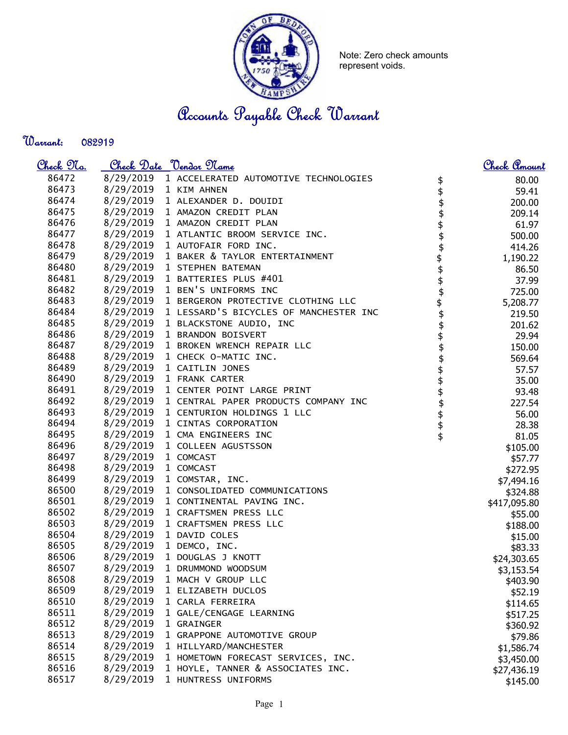

Note: Zero check amounts represent voids.

Accounts Payable Check Warrant

Warrant: 

| <u>Check 97a.</u> |                       | Check Date <u>Vendor Name</u>                    |                  | Check Amount |
|-------------------|-----------------------|--------------------------------------------------|------------------|--------------|
| 86472             |                       | 8/29/2019 1 ACCELERATED AUTOMOTIVE TECHNOLOGIES  | \$               | 80.00        |
| 86473             | 8/29/2019 1 KIM AHNEN |                                                  | \$               | 59.41        |
| 86474             |                       | 8/29/2019 1 ALEXANDER D. DOUIDI                  | \$               | 200.00       |
| 86475             |                       | 8/29/2019 1 AMAZON CREDIT PLAN                   | \$               | 209.14       |
| 86476             |                       | 8/29/2019 1 AMAZON CREDIT PLAN                   |                  | 61.97        |
| 86477             |                       | 8/29/2019 1 ATLANTIC BROOM SERVICE INC.          | \$<br>\$         | 500.00       |
| 86478             |                       | 8/29/2019 1 AUTOFAIR FORD INC.                   |                  | 414.26       |
| 86479             |                       | 8/29/2019 1 BAKER & TAYLOR ENTERTAINMENT         | \$\$\$\$\$\$\$\$ | 1,190.22     |
| 86480             |                       | 8/29/2019 1 STEPHEN BATEMAN                      |                  | 86.50        |
| 86481             |                       | 8/29/2019 1 BATTERIES PLUS #401                  |                  | 37.99        |
| 86482             |                       | 8/29/2019 1 BEN'S UNIFORMS INC                   |                  | 725.00       |
| 86483             |                       | 8/29/2019 1 BERGERON PROTECTIVE CLOTHING LLC     |                  | 5,208.77     |
| 86484             |                       | 8/29/2019 1 LESSARD'S BICYCLES OF MANCHESTER INC |                  | 219.50       |
| 86485             |                       | 8/29/2019 1 BLACKSTONE AUDIO, INC                |                  | 201.62       |
| 86486             |                       | 8/29/2019 1 BRANDON BOISVERT                     |                  | 29.94        |
| 86487             |                       | 8/29/2019 1 BROKEN WRENCH REPAIR LLC             | \$<br>\$         | 150.00       |
| 86488             |                       | 8/29/2019 1 CHECK O-MATIC INC.                   | \$               | 569.64       |
| 86489             |                       | 8/29/2019 1 CAITLIN JONES                        |                  |              |
| 86490             |                       | 8/29/2019 1 FRANK CARTER                         | \$\$\$\$\$\$\$   | 57.57        |
| 86491             |                       | 8/29/2019 1 CENTER POINT LARGE PRINT             |                  | 35.00        |
| 86492             |                       | 8/29/2019 1 CENTRAL PAPER PRODUCTS COMPANY INC   |                  | 93.48        |
| 86493             |                       | 8/29/2019 1 CENTURION HOLDINGS 1 LLC             |                  | 227.54       |
| 86494             |                       | 8/29/2019 1 CINTAS CORPORATION                   |                  | 56.00        |
| 86495             |                       | 8/29/2019 1 CMA ENGINEERS INC                    |                  | 28.38        |
| 86496             |                       | 8/29/2019 1 COLLEEN AGUSTSSON                    |                  | 81.05        |
| 86497             |                       |                                                  |                  | \$105.00     |
|                   | 8/29/2019 1 COMCAST   |                                                  |                  | \$57.77      |
| 86498             | 8/29/2019             | 1 COMCAST                                        |                  | \$272.95     |
| 86499             | 8/29/2019             | 1 COMSTAR, INC.                                  |                  | \$7,494.16   |
| 86500             |                       | 8/29/2019 1 CONSOLIDATED COMMUNICATIONS          |                  | \$324.88     |
| 86501             |                       | 8/29/2019 1 CONTINENTAL PAVING INC.              |                  | \$417,095.80 |
| 86502             |                       | 8/29/2019 1 CRAFTSMEN PRESS LLC                  |                  | \$55.00      |
| 86503             |                       | 8/29/2019 1 CRAFTSMEN PRESS LLC                  |                  | \$188.00     |
| 86504             |                       | 8/29/2019 1 DAVID COLES                          |                  | \$15.00      |
| 86505             |                       | 8/29/2019 1 DEMCO, INC.                          |                  | \$83.33      |
| 86506             |                       | 8/29/2019 1 DOUGLAS J KNOTT                      |                  | \$24,303.65  |
| 86507             | 8/29/2019             | 1 DRUMMOND WOODSUM                               |                  | \$3,153.54   |
| 86508             | 8/29/2019             | 1 MACH V GROUP LLC                               |                  | \$403.90     |
| 86509             | 8/29/2019             | 1 ELIZABETH DUCLOS                               |                  | \$52.19      |
| 86510             | 8/29/2019             | 1 CARLA FERREIRA                                 |                  | \$114.65     |
| 86511             | 8/29/2019             | 1 GALE/CENGAGE LEARNING                          |                  | \$517.25     |
| 86512             | 8/29/2019             | 1 GRAINGER                                       |                  | \$360.92     |
| 86513             | 8/29/2019             | 1 GRAPPONE AUTOMOTIVE GROUP                      |                  | \$79.86      |
| 86514             | 8/29/2019             | 1 HILLYARD/MANCHESTER                            |                  | \$1,586.74   |
| 86515             | 8/29/2019             | 1 HOMETOWN FORECAST SERVICES, INC.               |                  | \$3,450.00   |
| 86516             | 8/29/2019             | 1 HOYLE, TANNER & ASSOCIATES INC.                |                  | \$27,436.19  |
| 86517             | 8/29/2019             | 1 HUNTRESS UNIFORMS                              |                  | \$145.00     |